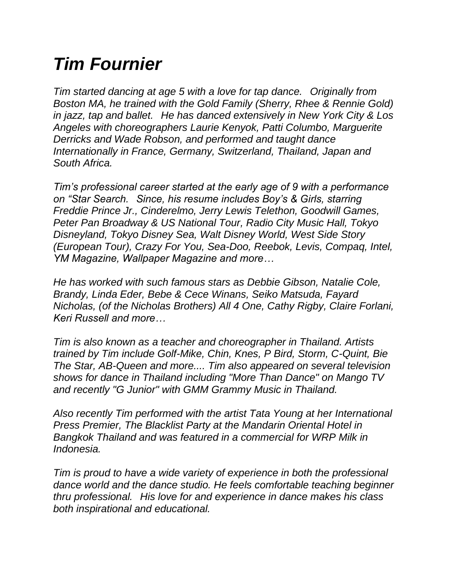## *Tim Fournier*

*Tim started dancing at age 5 with a love for tap dance. Originally from Boston MA, he trained with the Gold Family (Sherry, Rhee & Rennie Gold) in jazz, tap and ballet. He has danced extensively in New York City & Los Angeles with choreographers Laurie Kenyok, Patti Columbo, Marguerite Derricks and Wade Robson, and performed and taught dance Internationally in France, Germany, Switzerland, Thailand, Japan and South Africa.*

*Tim's professional career started at the early age of 9 with a performance on "Star Search. Since, his resume includes Boy's & Girls, starring Freddie Prince Jr., Cinderelmo, Jerry Lewis Telethon, Goodwill Games, Peter Pan Broadway & US National Tour, Radio City Music Hall, Tokyo Disneyland, Tokyo Disney Sea, Walt Disney World, West Side Story (European Tour), Crazy For You, Sea-Doo, Reebok, Levis, Compaq, Intel, YM Magazine, Wallpaper Magazine and more…*

*He has worked with such famous stars as Debbie Gibson, Natalie Cole, Brandy, Linda Eder, Bebe & Cece Winans, Seiko Matsuda, Fayard Nicholas, (of the Nicholas Brothers) All 4 One, Cathy Rigby, Claire Forlani, Keri Russell and more…*

*Tim is also known as a teacher and choreographer in Thailand. Artists trained by Tim include Golf-Mike, Chin, Knes, P Bird, Storm, C-Quint, Bie The Star, AB-Queen and more.... Tim also appeared on several television shows for dance in Thailand including "More Than Dance" on Mango TV and recently "G Junior" with GMM Grammy Music in Thailand.* 

*Also recently Tim performed with the artist Tata Young at her International Press Premier, The Blacklist Party at the Mandarin Oriental Hotel in Bangkok Thailand and was featured in a commercial for WRP Milk in Indonesia.*

*Tim is proud to have a wide variety of experience in both the professional dance world and the dance studio. He feels comfortable teaching beginner thru professional. His love for and experience in dance makes his class both inspirational and educational.*